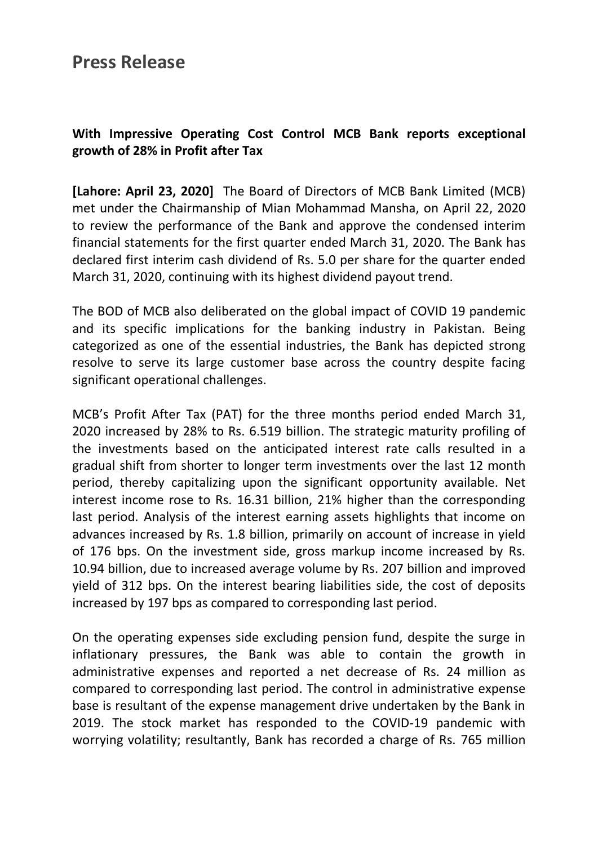### **Press Release**

### **With Impressive Operating Cost Control MCB Bank reports exceptional growth of 28% in Profit after Tax**

**[Lahore: April 23, 2020]** The Board of Directors of MCB Bank Limited (MCB) met under the Chairmanship of Mian Mohammad Mansha, on April 22, 2020 to review the performance of the Bank and approve the condensed interim financial statements for the first quarter ended March 31, 2020. The Bank has declared first interim cash dividend of Rs. 5.0 per share for the quarter ended March 31, 2020, continuing with its highest dividend payout trend.

The BOD of MCB also deliberated on the global impact of COVID 19 pandemic and its specific implications for the banking industry in Pakistan. Being categorized as one of the essential industries, the Bank has depicted strong resolve to serve its large customer base across the country despite facing significant operational challenges.

MCB's Profit After Tax (PAT) for the three months period ended March 31, 2020 increased by 28% to Rs. 6.519 billion. The strategic maturity profiling of the investments based on the anticipated interest rate calls resulted in a gradual shift from shorter to longer term investments over the last 12 month period, thereby capitalizing upon the significant opportunity available. Net interest income rose to Rs. 16.31 billion, 21% higher than the corresponding last period. Analysis of the interest earning assets highlights that income on advances increased by Rs. 1.8 billion, primarily on account of increase in yield of 176 bps. On the investment side, gross markup income increased by Rs. 10.94 billion, due to increased average volume by Rs. 207 billion and improved yield of 312 bps. On the interest bearing liabilities side, the cost of deposits increased by 197 bps as compared to corresponding last period.

On the operating expenses side excluding pension fund, despite the surge in inflationary pressures, the Bank was able to contain the growth in administrative expenses and reported a net decrease of Rs. 24 million as compared to corresponding last period. The control in administrative expense base is resultant of the expense management drive undertaken by the Bank in 2019. The stock market has responded to the COVID-19 pandemic with worrying volatility; resultantly, Bank has recorded a charge of Rs. 765 million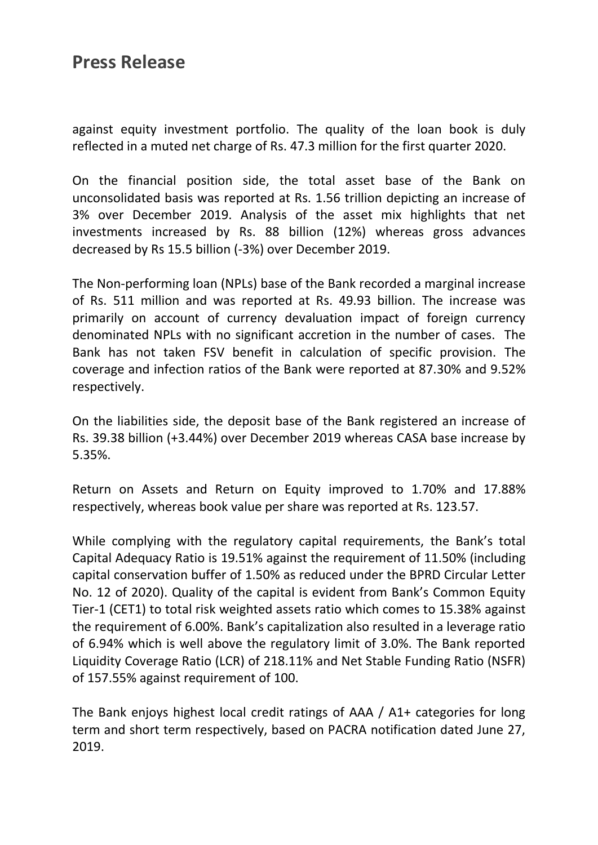# **Press Release**

against equity investment portfolio. The quality of the loan book is duly reflected in a muted net charge of Rs. 47.3 million for the first quarter 2020.

On the financial position side, the total asset base of the Bank on unconsolidated basis was reported at Rs. 1.56 trillion depicting an increase of 3% over December 2019. Analysis of the asset mix highlights that net investments increased by Rs. 88 billion (12%) whereas gross advances decreased by Rs 15.5 billion (-3%) over December 2019.

The Non-performing loan (NPLs) base of the Bank recorded a marginal increase of Rs. 511 million and was reported at Rs. 49.93 billion. The increase was primarily on account of currency devaluation impact of foreign currency denominated NPLs with no significant accretion in the number of cases. The Bank has not taken FSV benefit in calculation of specific provision. The coverage and infection ratios of the Bank were reported at 87.30% and 9.52% respectively.

On the liabilities side, the deposit base of the Bank registered an increase of Rs. 39.38 billion (+3.44%) over December 2019 whereas CASA base increase by 5.35%.

Return on Assets and Return on Equity improved to 1.70% and 17.88% respectively, whereas book value per share was reported at Rs. 123.57.

While complying with the regulatory capital requirements, the Bank's total Capital Adequacy Ratio is 19.51% against the requirement of 11.50% (including capital conservation buffer of 1.50% as reduced under the BPRD Circular Letter No. 12 of 2020). Quality of the capital is evident from Bank's Common Equity Tier-1 (CET1) to total risk weighted assets ratio which comes to 15.38% against the requirement of 6.00%. Bank's capitalization also resulted in a leverage ratio of 6.94% which is well above the regulatory limit of 3.0%. The Bank reported Liquidity Coverage Ratio (LCR) of 218.11% and Net Stable Funding Ratio (NSFR) of 157.55% against requirement of 100.

The Bank enjoys highest local credit ratings of AAA / A1+ categories for long term and short term respectively, based on PACRA notification dated June 27, 2019.